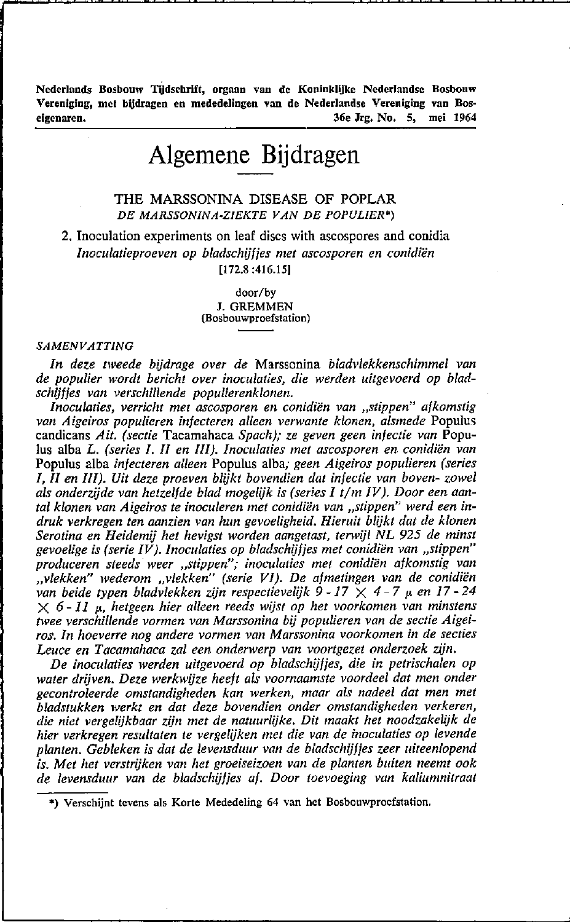**Nederlands Bosbouw Tijdschrift, orgaan van de Koninklijke Nederlandse Bosbouw Vereniging, met bijdragen en mededelingen van de Nederlandse Vereniging van Bos· eigenaren. 36e Jrg. No. 5, mei 1964** 

# **Algemene Bijdragen**

# THE MARSSONINA DISEASE OF POPLAR *DE MARSSONlNA·ZIEKTE VAN DE POPULIER')*

2. Inoculation experiments on leaf discs with ascospores and conidia *Inoculatieproeven op bladschijf jes met ascosporen en conidiën*  [172.8 :416.151

> door/by J. GREMMEN **(Bosbouwproefstation)**

#### *SAMENVATTING*

*In deze tweede bijdrage over de* Marssonina *bladvlekkenschimme/ van de populier wordt bericht over inoculaties, die werden uitgevoerd op bladschijfjes van verschillende populierenklonen.* 

*Inoculaties, verricht met ascosporen en conidiën van "stippen" afkomstig van Aigeiros populieren infecteren alleen verwante klonen, alsmede* Populus candicans *Ait. (sectie* Tacamahaca *Spach); ze geven geen infectie van* Populus alba L. *(series I. 1I en* lil). *Inoculaties met ascosporen en conidiën van*  Populus alba *infecteren alleen* Populus alba; *geen Aigeiros populieren (series I, 1I en* lil). *Uit deze proeven blijkt bovendien dat infectie van boven- zowel*  als onderzijde van hetzelfde blad mogelijk is *(series I t/m IV)*. Door een aantal klonen van Aigeiros te inoculeren met conidiën van "stippen<sup>"</sup> werd een in*druk verkregen ten aanzien van hun gevoeligheid. Hieruit blijkt dat de klonen Serotina en Heidemij het hevigst worden aangetast, terwijl NL* 925 *de minst*  gevoelige is (serie IV). Inoculaties op bladschijfies met conidiën van "stippen" *produceren steeds weer "stippen"; inoculaties met conidiën afkomstig van "vlekken" wederom "vlekken" (serie VI). De afmetingen van de conidiën van beide typen bladvlekken zijn respectievelijk* 9 -17 X 4 - 7 p. *en 17* - 24  $\times$  6 - *11*  $\mu$ , *hetgeen hier alleen reeds wijst op het voorkomen van minstens twee verschillende vormen van Marssonina bij populieren van de sectie Aigeiros. In hoeverre nog andere vormen van Marssonina voorkomen in de secties Leuce en Tacamahaca zal een onderwerp van voortgezet onderzoek zijn.* 

*De inoculaties werden uitgevoerd op bladschijf jes, die in petrischalen op water drijven. Deze werkwijze heeft als voornaamste voordeel dat men onder gecontroleerde omstandigheden kan werken, maar als nadeel dat men met bladstukken werkt en dat deze bovendien onder omstandigheden verkeren, die niet vergelijkbaar zijn met de natuurlijke. Dit maakt het noodzakelijk de hier verkregen resultaten te vergelijken met die van de inoculaties op levende planten. Gebleken* is *dat de levensduur van de bladschijf jes zeer uiteenlopend is. Met het verstrijken van het groeiseizoen van de planten buiten neemt ook de levensduur van de bladschijf jes af. Door toevoeging van kaliumnitraat* 

**<sup>\*)</sup> Verschijnt tevens als Korte Mededeling 64 van het Bosbouwproefstation.**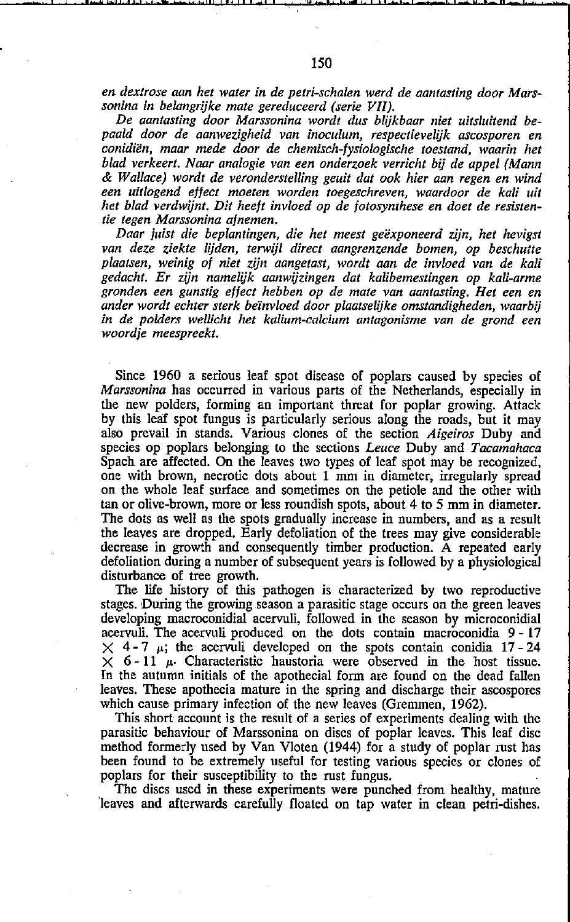*De aantasting door Marssonina wordt dus blijkbaar niet uitsluitend bepaald door de aanwezigheid van inoculum, respectieveUjk ascosporen en conidiën, maar mede door de chemisch-fysiologische toestand, waarin het blad verkeert. Naar analogie van een onderzoek verricht bij de appel (Mann*  & *Wallace) wordt de veronderstelling geuit dat ook hier aan regen en wind*  een uitlogend effect moeten worden toegeschreven, waardoor de kali uit *het blad verdwijnt. Dit heeft invloed op de fotosynthese en doet de resistentie tegen Marssonina afnemen.* 

*Daar juist die beplantingen, die het meest geëxponeerd zijn, het hevigst van deze ziekte lijden, terwijl direct aangrenzende bomen, op beschutte plaatsen, weinig of niet zijn aangetast, wordt aan de invloed van de kaU gedacht. Er zijn namelijk aanwijzingen dat kaUbemestingen op kali-arme gronden een gunstig effect hebben op de mate van aantasting. Het een en ander wordt echter sterk beïnvloed door plaatselijke omstandigheden, waarbij in de polders wellicht het kaUum-calcium antagonisme van de grond een woordje meespreekt.* 

Sinee 1960 a serious leaf spot disease of poplars eaused by species of *Marssonina* has occurred in various parts of the Netherlands, especially in the new polders, forming an important tbreat for poplar growing. Attaek by this leaf spot fungus is particularly serious along the roads, but it may also prevail in stands. Various clones of the seetion *Aigeiros* Duby and species op poplars belonging to the sections *Leuce* Duby and *Tacamahaca* Spach are affected. On the leaves two types of leaf spot may be recognized, one with brown, necrotic dots about 1 mm in diameter, irregularly spread on the whole leaf surface and sometimes on the petiole and the other with tan or olive-brown, more or less roundish spots, about 4 to 5 mm in diameter. The dots as well as the spots gradually increase in numbers, and as a result the leaves are dropped. Early defoliation of the trees may give considerable deerease in growth and eonsequently timber produetion. A repeated early defoliation during a number of subsequent years is followed by a physiologieal disturbanee of tree growth.

The life history of this pathogen is characterized by two reproductive stages. During the growing season a parasitic stage occurs on the green leaves developing macroconidial acervuli, followed in the season by microconidial acervuli. The acervuli produced on the dots eontain macroconidia 9 - 17  $\times$  4-7  $\mu$ ; the acervuli developed on the spots contain conidia 17-24  $\times$  6-11  $\mu$ . Characteristic haustoria were observed in the host tissue. In the autumn initials of the apothecial form are found on the dead fallen leaves. These apothecia mature in the spring and discharge their ascospores which eause primary infection of the new leaves (Gremmen, 1962).

This short account is tbe result of a series of experiments dealing with thc parasitic behaviour of Marssonina on discs of poplar leaves. This leaf disc metbod formerly used by Van Vloten (1944) for a study of poplar rust has been found to be extremely useful for testing various specics or clones of poplars for their susceptibility to the rust fungus.

The discs used in these experiments were punched from healthy, mature 'Ieaves and afterwards earefully f10ated on tap water in clean petri-dishes.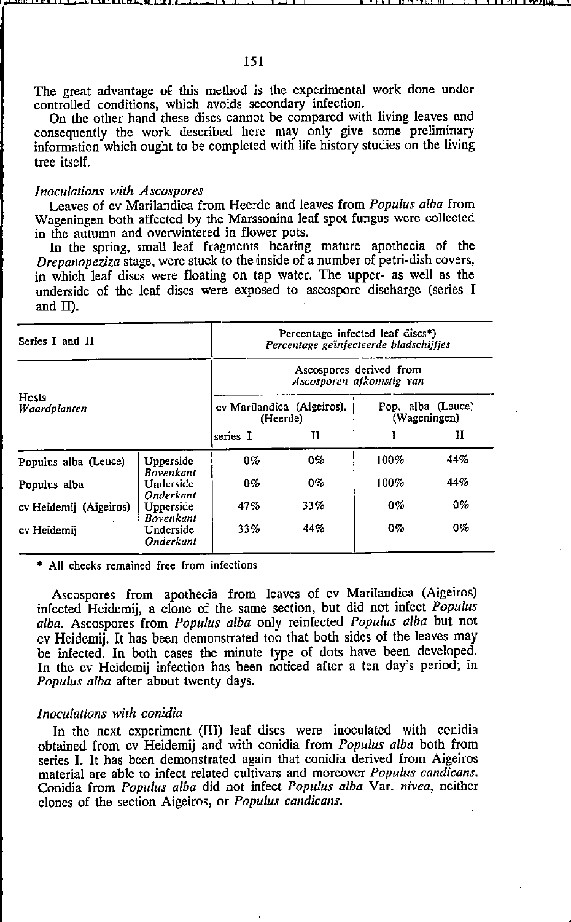The great advantage of this method is the experimental work done under controlled conditions, which avoids secondary infection.

On the other hand these discs cannot be compared with living leaves and consequently thc work described here may only give some preliminary information which ought to be completed with life history studies on the living tree itseIf.

### *lnoculations with Ascospores*

Leaves of cv Marilandica from Heerde and Ieaves from *Populus alba* from Wageningen both affected by the Marssonina leaf spot fungus were collected in the autumn and overwintered in flower pots.

In tbe spring, smaU leaf fragments bearing mature apotbecia of the *Drepanopeziza* stage, were stuck to the inside of a number of petri-dish covers, in which leaf discs were floating on tap water. The upper- as well as the underside of the leaf discs were exposed to ascospore discharge (series I and 1I).

| Series I and II        |                               | Percentage infected leaf discs*)<br>Percentage geïnfecteerde bladschijfjes |       |                                   |       |
|------------------------|-------------------------------|----------------------------------------------------------------------------|-------|-----------------------------------|-------|
| Hosts<br>Waardplanten  |                               | Ascospores derived from<br>Ascosporen afkomstig van                        |       |                                   |       |
|                        |                               | cy Marilandica (Aigeiros),<br>(Heerde)                                     |       | Pop. alba (Louce)<br>(Wageningen) |       |
|                        |                               | series I                                                                   | п     |                                   | н     |
| Populus alba (Leuce)   | Upperside<br>Bovenkant        | $0\%$                                                                      | $0\%$ | 100%                              | 44%   |
| Populus alba           | Underside<br>Onderkant        | $0\%$                                                                      | $0\%$ | 100%                              | 44%   |
| cv Heidemij (Aigeiros) | Upperside<br><b>Bovenkant</b> | 47%                                                                        | 33%   | $0\%$                             | $0\%$ |
| cv Heidemij            | Underside<br>Onderkant        | 33%                                                                        | 44%   | $0\%$                             | $0\%$ |

**• All checks remained free from infections** 

Ascospores from apothecia from Ieaves of cv Marilandica (Aigeiros) infected Heidemij, a clone of the same section, but did not infect *Populus a/ba.* Ascospores from *Populus alba* only reinfected *Populus alba* but not cv Heidemij. It has been demonstrated toa that bath sides of the leaves may be infected. In both cases the minute type of dots have been developed. In the cv Heidemij infection has been noticed after a ten day's period; in *Populus alba* after about twenty days.

### *lnoculations with conidia*

In thc next experiment (lIl) leaf discs were inocuIated with conidia obtained from cv Heidemij and with conidia from *Popu/us alba* bath from series 1. It has been demonstrated again that conidia derived from Aigeiros material are able to infect related cultivars and morcovcr *Populus candicans.*  Conidia from *Populus alba* did not infect *Populus alba* Var. *nivea,* neitber clones of the section Aigeiros, or *Popu/us candicans.*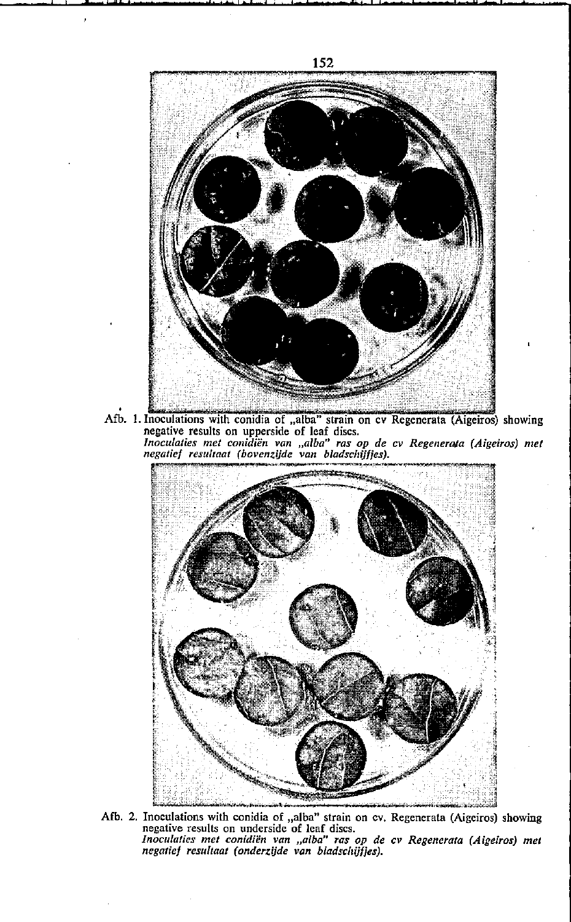

Afb. 1. Inoculations with conidia of "alba" strain on cv Regenerata (Aigeiros) showing negative results on upperside of leaf discs.<br>Inoculaties met conidiën van "alba" ras op de cv Regenerata (Aigeiros) met negatief result



Afb. 2. Inoculations with conidia of "alba" strain on cv. Regenerata (Aigeiros) showing negative results on underside of leaf discs. *Inoculaties mei conidiën van .,alba" ras op de cv Regenerata (Aigeiros) met negatief resultaat (onderzijde van bladschijfies).*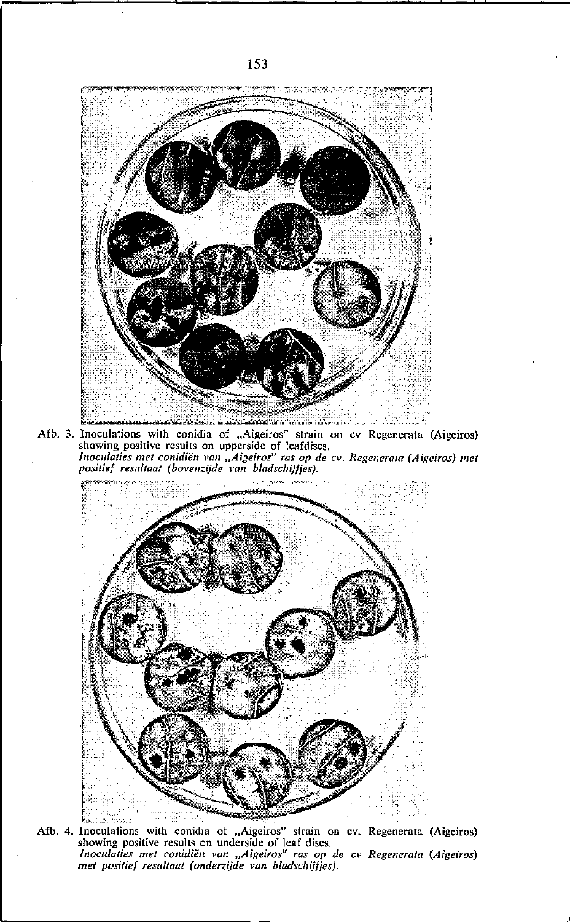

Afb. 3. Inoculations with conidia of "Aigeiros" strain on cv Regenerata (Aigeiros) showing positive results on upperside of leafdiscs. *Inoculaties met conidiën van "Aigeiros" ras op de cv. Regenerata (Aigeiros) met positief resultaat (bovenz.ijde van bladschijfies).* 



Afb. 4. Inoculations with conidia of "Aigeiros" strain on cv. Regenerata (Aigeiros) showing positive results on underside of leaf discs. *Inoculaties met conidiën van "Aigeiros" ras op de cv Regenerata (Aigeiros) met positief resultaat (onderzijde van bladschijfjes).*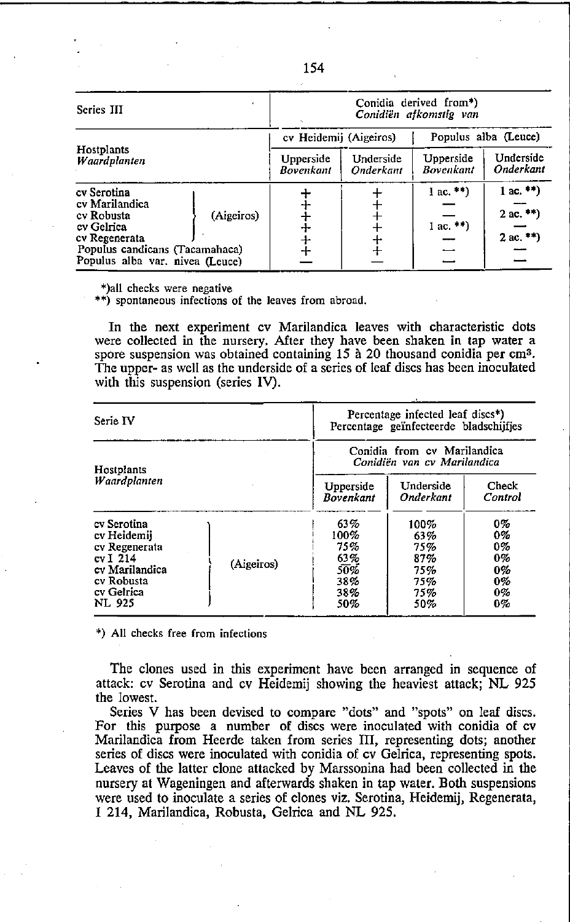| Series III                                                                                                                                                    |                        | Conidia derived from*)<br>Conidiën afkomstig van |                                                  |                                        |  |
|---------------------------------------------------------------------------------------------------------------------------------------------------------------|------------------------|--------------------------------------------------|--------------------------------------------------|----------------------------------------|--|
|                                                                                                                                                               | cv Heidemii (Aigeiros) |                                                  | Populus alba (Leuce)                             |                                        |  |
| Hostplants<br>Waaraplanten                                                                                                                                    | Upperside<br>Bovenkant | Underside<br>Onderkant                           | Underside<br>Upperside<br>Onderkant<br>Bovenkant |                                        |  |
| cv Serotina<br>cv Marilandica<br>(Aigeiros)<br>cy Robusta<br>cv Gelrica<br>cv Regenerata<br>Populus candicans (Tacamahaca)<br>Populus alba var. nivea (Leuce) | $\pm$                  |                                                  | $1ac.*')$<br>$1ac$ **)                           | $1$ ac. **)<br>2 ac. **)<br>$2ac.$ **) |  |

**\*)al1 checks were negative** 

**\*\*) spontaneous infections of the leaves from abroad.** 

In tbe next experiment ev Marilandiea leaves with eharaeteristie dots were collected in the nursery. After they have been shaken in tap water a spore suspension was obtained containing 15 à 20 thousand conidia per cm<sup>3</sup>. The upper- as weil as the underside of a series of leaf dises has been inoeulated with this suspension (series IV).

| Serie IV                                                                                                               |            |                                                            | Percentage infected leaf discs*)<br>Percentage geïnfecteerde bladschijfjes |                                              |  |
|------------------------------------------------------------------------------------------------------------------------|------------|------------------------------------------------------------|----------------------------------------------------------------------------|----------------------------------------------|--|
| Hostplants                                                                                                             |            | Conidia from cv Marilandica<br>Conidiën van cv Marilandica |                                                                            |                                              |  |
| Waardplanten                                                                                                           |            | Underside<br>Upperside<br><b>Bovenkant</b><br>Onderkant    |                                                                            | Check<br>Control                             |  |
| cy Serotina<br>cv Heidemii<br>cy Regenerata<br>cv I 214<br>cv Marilandica<br>cv Robusta<br>cv Gelrica<br><b>NL 925</b> | (Aigeiros) | 63%<br>100%<br>75%<br>63%<br>50%<br>38%<br>38%<br>50%      | 100%<br>63%<br>75%<br>87%<br>75%<br>75%<br>75%<br>50%                      | 0%<br>0%<br>0%<br>0%<br>0%<br>0%<br>0%<br>0% |  |

**\*) All checks free from infections** 

The clones used in this experiment have been arranged in sequence of attaek: ev Serotina and ev Heidemij showing the heaviest attaek; NL 925 tbe lowest.

**Series V has been devised to compare "dots" and "spots" on leaf discs.**  For this purpose a number of discs were inoculated with conidia of cv Marilandica from Heerde taken from series III, representing dots; another series of discs were inoculated with conidia of cv Gelrica, representing spots. Leaves of the latter clone attacked by Marssonina had been collected in the nursery at Wageningen and afterwards shaken in tap water. Both suspensions were used to inoeulate a series of clones viz. Serotina, Heidemij, Regenerata, I 214, Marilandica, Robusta, Gelrica and NL 925.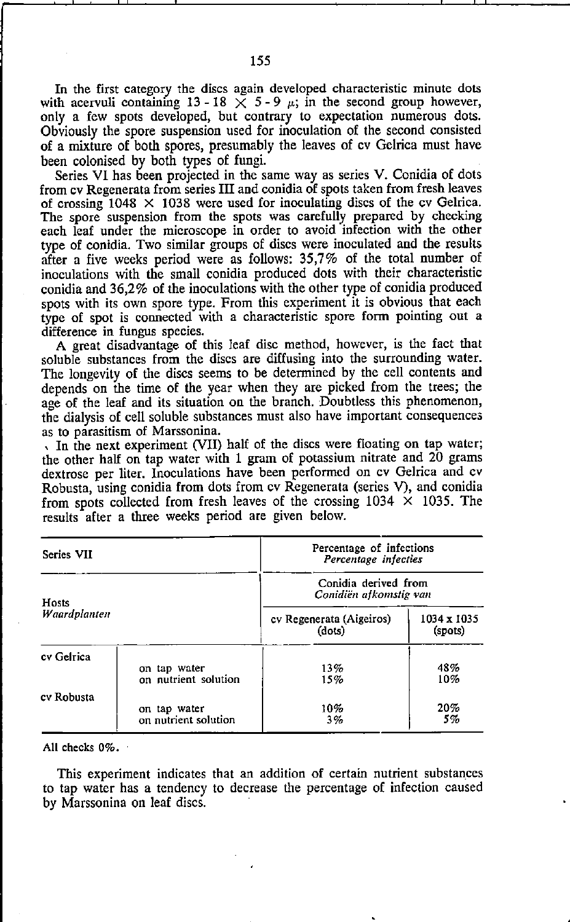In the first category the discs again developed characteristic minute dots with acervuli containing 13 - 18  $\times$  5 - 9  $\mu$ ; in the second group however, only a few spots developed, but contrary to expectation numerous dots. Obviously the spore suspension used for inoculation of the second consisted of a mixture of bath spares, presumably the leaves of cv Gelrica must have been colonised by bath types of fungi.

Series VI has been projected in the same way as series V. Conidia of dots from cv Regenerata from series **III** and eonidia of spots taken from fresh leaves of crossing  $1048 \times 1038$  were used for inoculating discs of the cv Gelrica. The spore suspension from the spots was carefully prepared by checking each leaf under the microscope in order to avoid infection with the other type of conidia. Two similar groups of discs were inoculated and the results after a five weeks period were as follows:  $35.7%$  of the total number of inoculations with the small conidia produced dots with their characteristic conidia and 36,2% of the inoculations with the other type of conidia produced spots with its own spore type. From this experiment it is obvious that each type of spot is eoonected witb a characteristie spore form pointing out a differenee in fungus species.

A great disadvantage of this leaf disc method, however, is the fact that soluble substances from the dises are diffusing into the surrounding water. The longevity of the discs seems to be determined by the cell contents and depends on the time of the year when they are picked from the trees; the age of the leaf and its situation on the branch. Doubtless this phenomenon, the dialysis of eell soluble substances must also have important consequenees

as to parasitism of Marssonina.<br>, In the next experiment (VII) half of the discs were floating on tap water; the other half on tap water with 1 gram of potassium nitrate and 20 grams dextrose per liter. Inoculations have been performed on cv Gelriea and cv Robusta, using conidia from dots from cv Regenerata (series V), and conidia from spots collected from fresh leaves of the crossing  $1034 \times 1035$ . The results after a three weeks period are given below.

| Series VII   |                                      | Percentage of infections<br>Percentage infecties             |            |  |  |
|--------------|--------------------------------------|--------------------------------------------------------------|------------|--|--|
| Hosts        |                                      | Conidia derived from<br>Conidiën afkomstig van               |            |  |  |
| Waardplanten |                                      | cv Regenerata (Aigeiros)<br>1034 x 1035<br>(dots)<br>(spots) |            |  |  |
| cv Gelrica   | on tap water<br>on nutrient solution | 13%<br>15%                                                   | 48%<br>10% |  |  |
| cv Robusta   | on tap water<br>on nutrient solution | 10%<br>3%                                                    | 20%<br>5%  |  |  |

All checks 0%.

This experiment indieates that an addition of certain nutrient substances to tap water has a tendency to deerease the percentage of infection caused by Marssonina on leaf discs.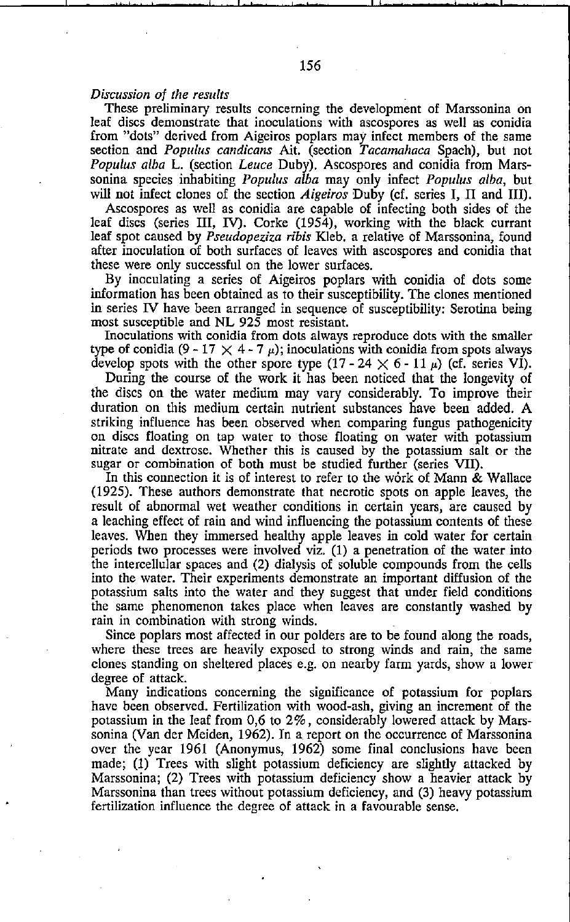## *Discussion of the results*

These preliminary results concerning the development of Marssonina on leaf discs demonstrate tbat inoculations with ascospores as weIl as conidia from "dots" derived from Aigeiros poplars may infect members of the same section and *POPlilus candicans* Ait. (seetion *Tacamahaca* Spaeh), but not *POPlilus alba* L. (seetion *Leuce* Duby). Ascospores and conidia from Marssonina species inhabiting *Populus alba* may only infect *POPlilus alba,* but will not infect clones of the seetion *Aigeiros* Duby (cf. series I, IJ and lIl).

Aseospores as weil as eonidia are eapable of infeeting bath sides of the leaf discs (series lIl, IV). Corke (1954), working witb the blaek eurrant leaf spot eaused by *Pseudopeziza ribis* Kleb. a relative of Marssonina, found after inoculation of both surfaces of leaves with ascospores and conidia that these were only successful on the lower surfaces.

By inoculating a series of Aigeiros poplars with conidia of dots some information has been obtained as to their susceptibility. The clones mentioned in series N have been arranged in sequence of susceptibility: Serotina being most susceptible and NL 925 most resistant.

Inoculations with conidia from dots always reproduce dots with the smaller type of conidia (9 - 17  $\times$  4 - 7  $\mu$ ); inoculations with conidia from spots always develop spots with the other spore type  $(17 - 24 \times 6 - 11 \mu)$  (cf. series VI).

During the course of the work it has been noticed that the longevity of the discs on the water medium may vary considerably. To improve their duration on tbis medium certain nutrient substances have been added. A striking influence has been observed when comparing fungus patbogenicity on discs floating on tap water to those floating on water witb potassium nitrate and dextrose. Whether this is caused by the potassium salt or the sugar or combination of both must be studied further (series VII).

In this connection it is of interest to refer to the work of Mann & Wallace (1925). These authors demonstrate that necrotic spots on apple leaves, tbe result of abnormal wet weather conditions in certain years, are caused by a leaehing effect of rain and wind influencing the potassium contents of tbese leaves. When they immersed healthy apple leaves in cold water for certain periods two processes were involved viz. (1) a penetration of the water into the intercellular spaces and (2) dialysis of soluble compounds from the cells into the water. Their experiments demonstrate an important diffusion of the potassium salts into the water and they suggest that under field conditions the same phenomenon takes place when leaves are constantly washed by rain in combination with strong winds.

Since poplars most affected in our polders are to be found along the roads, where these trees are heavily exposed to strong winds and rain, the same eIones standing on sheltered places e.g. on nearby farm yards, show a lower degree of attaek.

Many indications conceming the significanee of potassium for poplars have been observed. Fertilization with wood-ash, giving an increment of the potassium in tbe leaf from 0,6 to 2%, eonsiderably lowered attack by Marssonina (Van der Meiden, 1962). **In** a report on the oceurrenee of Marssonina over the year 1961 (Anonymus, 1962) same final conclusions have been made; (1) Trees with slight potassium deficieney are slightly attaeked by Marssonina; (2) Trees witb potassium deficieney show a heavier attaek by Marssonina than trees without potassium deficieney, and (3) heavy potassium fertilization influenee tbe degree of attaek in a favourable sense.